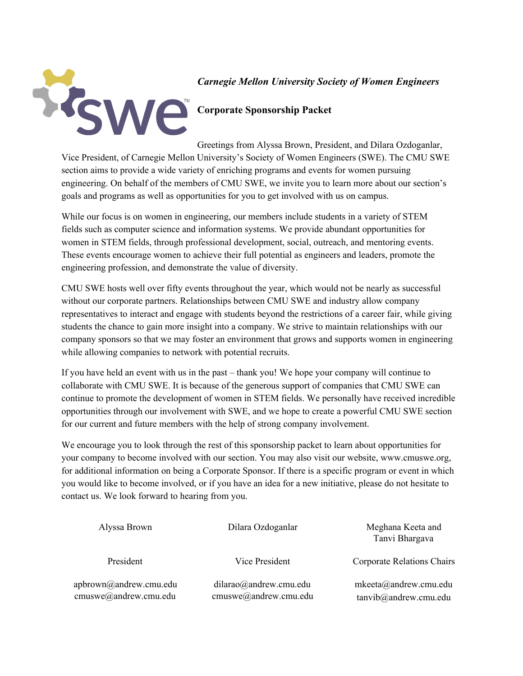

#### *Carnegie Mellon University Society of Women Engineers*

Greetings from Alyssa Brown, President, and Dilara Ozdoganlar, Vice President, of Carnegie Mellon University's Society of Women Engineers (SWE). The CMU SWE section aims to provide a wide variety of enriching programs and events for women pursuing engineering. On behalf of the members of CMU SWE, we invite you to learn more about our section's goals and programs as well as opportunities for you to get involved with us on campus.

While our focus is on women in engineering, our members include students in a variety of STEM fields such as computer science and information systems. We provide abundant opportunities for women in STEM fields, through professional development, social, outreach, and mentoring events. These events encourage women to achieve their full potential as engineers and leaders, promote the engineering profession, and demonstrate the value of diversity.

CMU SWE hosts well over fifty events throughout the year, which would not be nearly as successful without our corporate partners. Relationships between CMU SWE and industry allow company representatives to interact and engage with students beyond the restrictions of a career fair, while giving students the chance to gain more insight into a company. We strive to maintain relationships with our company sponsors so that we may foster an environment that grows and supports women in engineering while allowing companies to network with potential recruits.

If you have held an event with us in the past – thank you! We hope your company will continue to collaborate with CMU SWE. It is because of the generous support of companies that CMU SWE can continue to promote the development of women in STEM fields. We personally have received incredible opportunities through our involvement with SWE, and we hope to create a powerful CMU SWE section for our current and future members with the help of strong company involvement.

We encourage you to look through the rest of this sponsorship packet to learn about opportunities for your company to become involved with our section. You may also visit our website, www.cmuswe.org, for additional information on being a Corporate Sponsor. If there is a specific program or event in which you would like to become involved, or if you have an idea for a new initiative, please do not hesitate to contact us. We look forward to hearing from you.

| Alyssa Brown                                    | Dilara Ozdoganlar                                  | Meghana Keeta and<br>Tanvi Bhargava                        |
|-------------------------------------------------|----------------------------------------------------|------------------------------------------------------------|
| President                                       | Vice President                                     | <b>Corporate Relations Chairs</b>                          |
| apbrown@andrew.cmu.edu<br>cmuswe@andrew.cmu.edu | $dilarao$ @andrew.cmu.edu<br>cmuswe@andrew.cmu.edu | $m\text{keeta}(a)$ andrew.cmu.edu<br>tanvib@andrew.cmu.edu |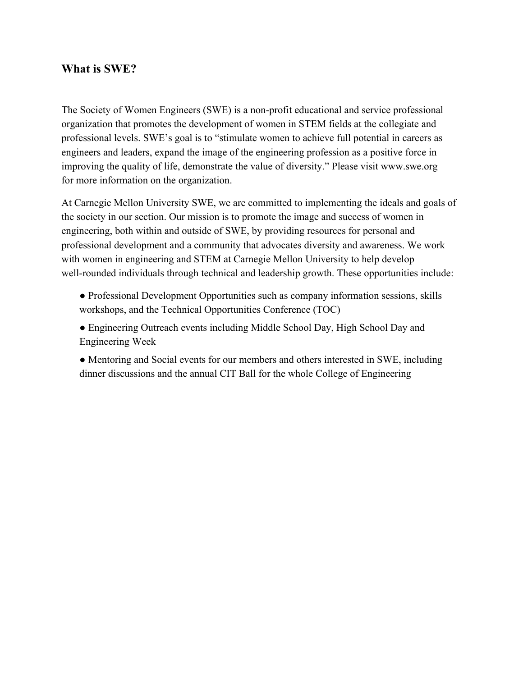#### **What is SWE?**

The Society of Women Engineers (SWE) is a non-profit educational and service professional organization that promotes the development of women in STEM fields at the collegiate and professional levels. SWE's goal is to "stimulate women to achieve full potential in careers as engineers and leaders, expand the image of the engineering profession as a positive force in improving the quality of life, demonstrate the value of diversity." Please visit www.swe.org for more information on the organization.

At Carnegie Mellon University SWE, we are committed to implementing the ideals and goals of the society in our section. Our mission is to promote the image and success of women in engineering, both within and outside of SWE, by providing resources for personal and professional development and a community that advocates diversity and awareness. We work with women in engineering and STEM at Carnegie Mellon University to help develop well-rounded individuals through technical and leadership growth. These opportunities include:

- Professional Development Opportunities such as company information sessions, skills workshops, and the Technical Opportunities Conference (TOC)
- Engineering Outreach events including Middle School Day, High School Day and Engineering Week
- Mentoring and Social events for our members and others interested in SWE, including dinner discussions and the annual CIT Ball for the whole College of Engineering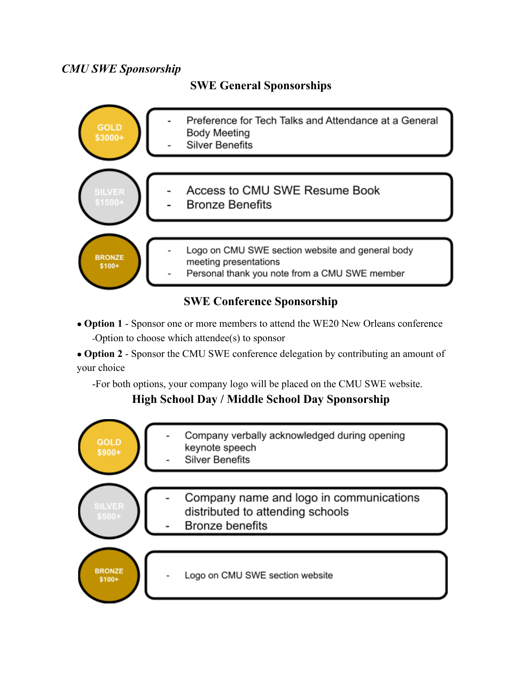# *CMU SWE Sponsorship*

**SWE General Sponsorships**



# **SWE Conference Sponsorship**

● **Option 1** - Sponsor one or more members to attend the WE20 New Orleans conference -Option to choose which attendee(s) to sponsor

● **Option 2** - Sponsor the CMU SWE conference delegation by contributing an amount of your choice

-For both options, your company logo will be placed on the CMU SWE website.

# **High School Day / Middle School Day Sponsorship**

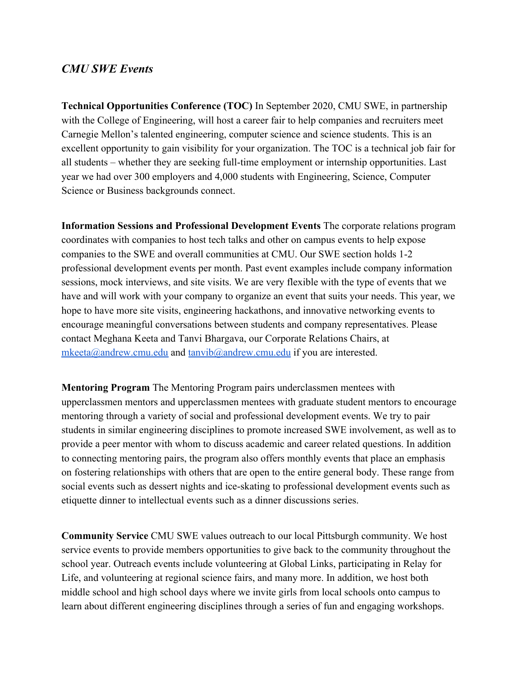### *CMU SWE Events*

**Technical Opportunities Conference (TOC)** In September 2020, CMU SWE, in partnership with the College of Engineering, will host a career fair to help companies and recruiters meet Carnegie Mellon's talented engineering, computer science and science students. This is an excellent opportunity to gain visibility for your organization. The TOC is a technical job fair for all students – whether they are seeking full-time employment or internship opportunities. Last year we had over 300 employers and 4,000 students with Engineering, Science, Computer Science or Business backgrounds connect.

**Information Sessions and Professional Development Events** The corporate relations program coordinates with companies to host tech talks and other on campus events to help expose companies to the SWE and overall communities at CMU. Our SWE section holds 1-2 professional development events per month. Past event examples include company information sessions, mock interviews, and site visits. We are very flexible with the type of events that we have and will work with your company to organize an event that suits your needs. This year, we hope to have more site visits, engineering hackathons, and innovative networking events to encourage meaningful conversations between students and company representatives. Please contact Meghana Keeta and Tanvi Bhargava, our Corporate Relations Chairs, at [mkeeta@andrew.cmu.edu](mailto:mkeeta@andrew.cmu.edu) and [tanvib@andrew.cmu.edu](mailto:tanvib@andrew.cmu.edu) if you are interested.

**Mentoring Program** The Mentoring Program pairs underclassmen mentees with upperclassmen mentors and upperclassmen mentees with graduate student mentors to encourage mentoring through a variety of social and professional development events. We try to pair students in similar engineering disciplines to promote increased SWE involvement, as well as to provide a peer mentor with whom to discuss academic and career related questions. In addition to connecting mentoring pairs, the program also offers monthly events that place an emphasis on fostering relationships with others that are open to the entire general body. These range from social events such as dessert nights and ice-skating to professional development events such as etiquette dinner to intellectual events such as a dinner discussions series.

**Community Service** CMU SWE values outreach to our local Pittsburgh community. We host service events to provide members opportunities to give back to the community throughout the school year. Outreach events include volunteering at Global Links, participating in Relay for Life, and volunteering at regional science fairs, and many more. In addition, we host both middle school and high school days where we invite girls from local schools onto campus to learn about different engineering disciplines through a series of fun and engaging workshops.